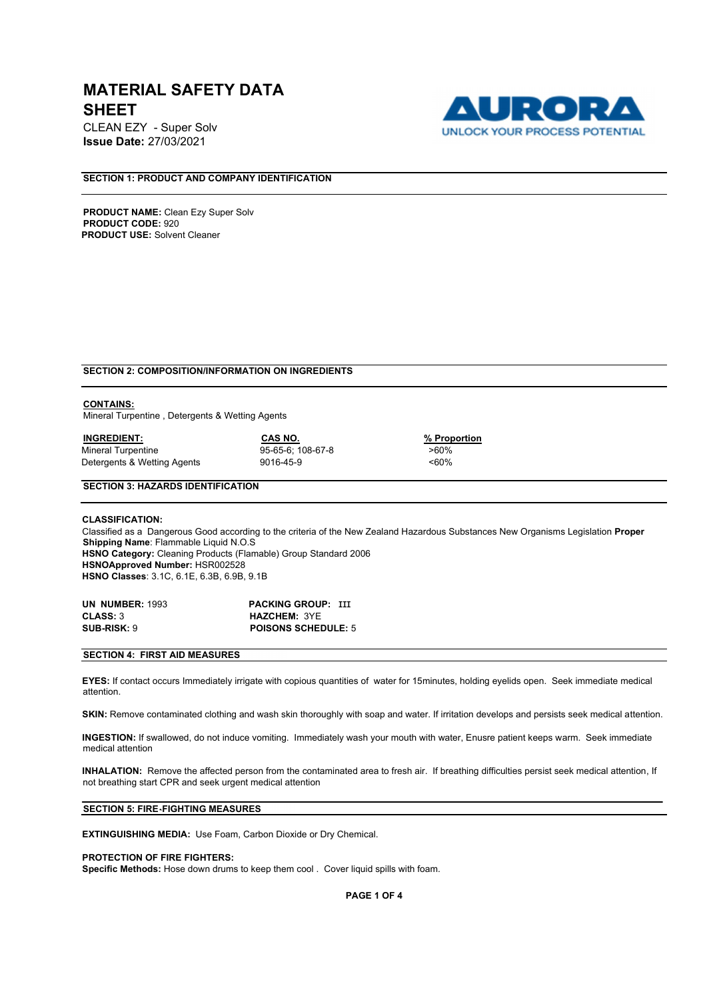CLEAN EZY - Super Solv **Issue Date:** 27/03/2021



# **SECTION 1: PRODUCT AND COMPANY IDENTIFICATION**

**PRODUCT NAME:** Clean Ezy Super Solv **PRODUCT CODE:** 920 **PRODUCT USE:** Solvent Cleaner

## **SECTION 2: COMPOSITION/INFORMATION ON INGREDIENTS**

#### **CONTAINS:**

Mineral Turpentine , Detergents & Wetting Agents

| <b>INGREDIENT:</b>          | CAS NO.           | % Prop   |
|-----------------------------|-------------------|----------|
| Mineral Turpentine          | 95-65-6: 108-67-8 | >60%     |
| Detergents & Wetting Agents | 9016-45-9         | $< 60\%$ |

*<u>% Proportion</u>* 

## **SECTION 3: HAZARDS IDENTIFICATION**

**CLASSIFICATION:**  Classified as a Dangerous Good according to the criteria of the New Zealand Hazardous Substances New Organisms Legislation **Proper Shipping Name**: Flammable Liquid N.O.S **HSNO Category:** Cleaning Products (Flamable) Group Standard 2006 **HSNOApproved Number:** HSR002528 **HSNO Classes**: 3.1C, 6.1E, 6.3B, 6.9B, 9.1B

| <b>UN NUMBER: 1993</b> | <b>PACKING GROUP: III</b>  |
|------------------------|----------------------------|
| <b>CLASS: 3</b>        | <b>HAZCHEM: 3YE</b>        |
| <b>SUB-RISK: 9</b>     | <b>POISONS SCHEDULE: 5</b> |

# **SECTION 4: FIRST AID MEASURES**

**EYES:** If contact occurs Immediately irrigate with copious quantities of water for 15minutes, holding eyelids open. Seek immediate medical attention.

**SKIN:** Remove contaminated clothing and wash skin thoroughly with soap and water. If irritation develops and persists seek medical attention.

**INGESTION:** If swallowed, do not induce vomiting. Immediately wash your mouth with water, Enusre patient keeps warm. Seek immediate medical attention

**INHALATION:** Remove the affected person from the contaminated area to fresh air. If breathing difficulties persist seek medical attention, If not breathing start CPR and seek urgent medical attention

## **SECTION 5: FIRE-FIGHTING MEASURES**

**EXTINGUISHING MEDIA:** Use Foam, Carbon Dioxide or Dry Chemical.

### **PROTECTION OF FIRE FIGHTERS:**

**Specific Methods:** Hose down drums to keep them cool . Cover liquid spills with foam.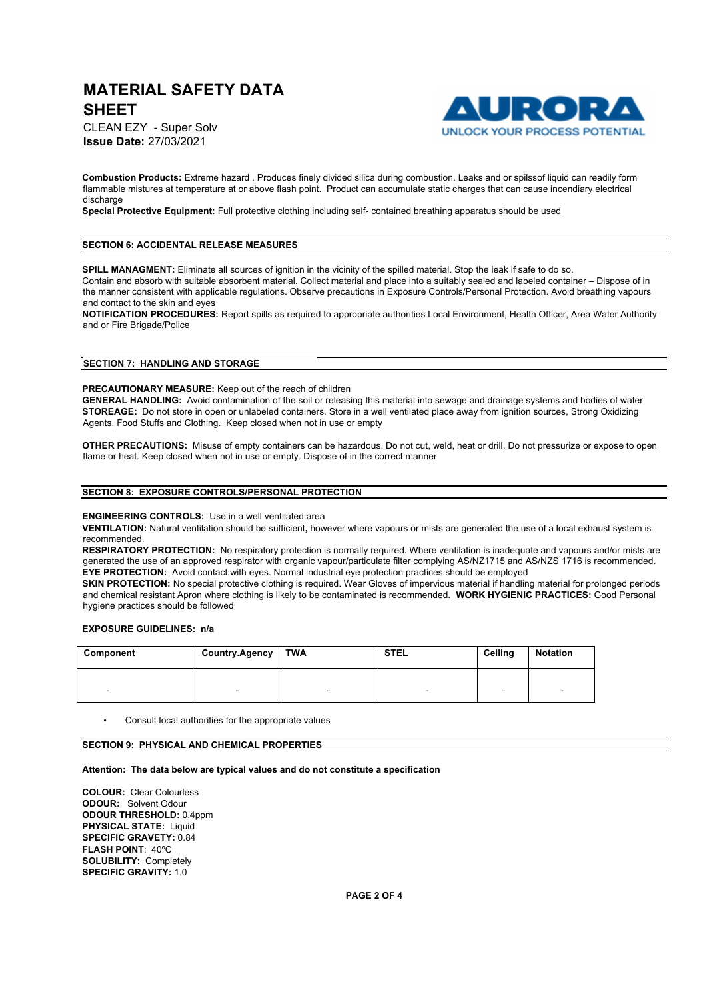1 D T o I **UNLOCK YOUR PROCESS POTENTIAL** 

CLEAN EZY - Super Solv **Issue Date:** 27/03/2021

**Combustion Products:** Extreme hazard . Produces finely divided silica during combustion. Leaks and or spilssof liquid can readily form flammable mistures at temperature at or above flash point. Product can accumulate static charges that can cause incendiary electrical discharge

**Special Protective Equipment:** Full protective clothing including self- contained breathing apparatus should be used

## **SECTION 6: ACCIDENTAL RELEASE MEASURES**

**SPILL MANAGMENT:** Eliminate all sources of ignition in the vicinity of the spilled material. Stop the leak if safe to do so. Contain and absorb with suitable absorbent material. Collect material and place into a suitably sealed and labeled container – Dispose of in the manner consistent with applicable regulations. Observe precautions in Exposure Controls/Personal Protection. Avoid breathing vapours and contact to the skin and eyes

**NOTIFICATION PROCEDURES:** Report spills as required to appropriate authorities Local Environment, Health Officer, Area Water Authority and or Fire Brigade/Police

## **SECTION 7: HANDLING AND STORAGE**

#### **PRECAUTIONARY MEASURE:** Keep out of the reach of children

**GENERAL HANDLING:** Avoid contamination of the soil or releasing this material into sewage and drainage systems and bodies of water **STOREAGE:** Do not store in open or unlabeled containers. Store in a well ventilated place away from ignition sources, Strong Oxidizing Agents, Food Stuffs and Clothing. Keep closed when not in use or empty

**OTHER PRECAUTIONS:** Misuse of empty containers can be hazardous. Do not cut, weld, heat or drill. Do not pressurize or expose to open flame or heat. Keep closed when not in use or empty. Dispose of in the correct manner

#### **SECTION 8: EXPOSURE CONTROLS/PERSONAL PROTECTION**

#### **ENGINEERING CONTROLS:** Use in a well ventilated area

**VENTILATION:** Natural ventilation should be sufficient**,** however where vapours or mists are generated the use of a local exhaust system is recommended.

**RESPIRATORY PROTECTION:** No respiratory protection is normally required. Where ventilation is inadequate and vapours and/or mists are generated the use of an approved respirator with organic vapour/particulate filter complying AS/NZ1715 and AS/NZS 1716 is recommended. **EYE PROTECTION:** Avoid contact with eyes. Normal industrial eye protection practices should be employed

**SKIN PROTECTION:** No special protective clothing is required. Wear Gloves of impervious material if handling material for prolonged periods and chemical resistant Apron where clothing is likely to be contaminated is recommended. **WORK HYGIENIC PRACTICES:** Good Personal hygiene practices should be followed

## **EXPOSURE GUIDELINES: n/a**

| Component | <b>Country.Agency</b> | TWA | <b>STEL</b>              | Ceiling | Notation                 |
|-----------|-----------------------|-----|--------------------------|---------|--------------------------|
| $\sim$    | -                     | -   | $\overline{\phantom{0}}$ | -       | $\overline{\phantom{a}}$ |

• Consult local authorities for the appropriate values

### **SECTION 9: PHYSICAL AND CHEMICAL PROPERTIES**

#### **Attention: The data below are typical values and do not constitute a specification**

**COLOUR:** Clear Colourless **ODOUR:** Solvent Odour **ODOUR THRESHOLD:** 0.4ppm **PHYSICAL STATE:** Liquid **SPECIFIC GRAVETY:** 0.84 **FLASH POINT**: 40ºC **SOLUBILITY:** Completely **SPECIFIC GRAVITY:** 1.0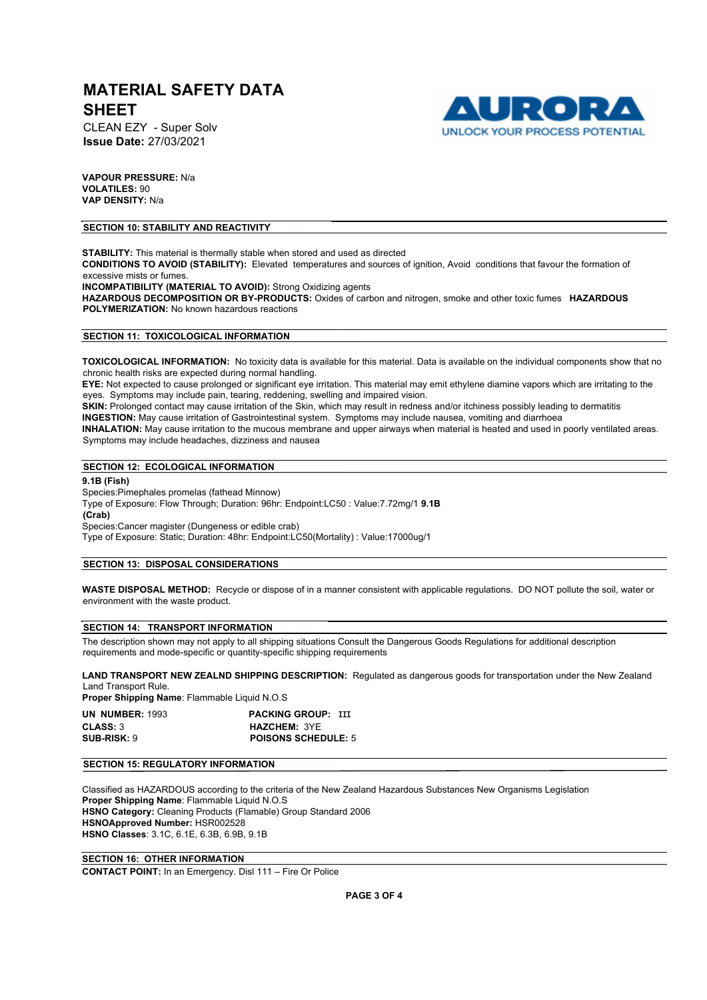CLEAN EZY - Super Solv **Issue Date:** 27/03/2021



**VAPOUR PRESSURE:** N/a **VOLATILES:** 90 **VAP DENSITY:** N/a

### **SECTION 10: STABILITY AND REACTIVITY**

**STABILITY:** This material is thermally stable when stored and used as directed **CONDITIONS TO AVOID (STABILITY):** Elevated temperatures and sources of ignition, Avoid conditions that favour the formation of excessive mists or fumes. **INCOMPATIBILITY (MATERIAL TO AVOID):** Strong Oxidizing agents **HAZARDOUS DECOMPOSITION OR BY-PRODUCTS:** Oxides of carbon and nitrogen, smoke and other toxic fumes **HAZARDOUS POLYMERIZATION:** No known hazardous reactions

### **SECTION 11: TOXICOLOGICAL INFORMATION**

**TOXICOLOGICAL INFORMATION:** No toxicity data is available for this material. Data is available on the individual components show that no chronic health risks are expected during normal handling.

**EYE:** Not expected to cause prolonged or significant eye irritation. This material may emit ethylene diamine vapors which are irritating to the eyes. Symptoms may include pain, tearing, reddening, swelling and impaired vision.

**SKIN:** Prolonged contact may cause irritation of the Skin, which may result in redness and/or itchiness possibly leading to dermatitis **INGESTION:** May cause irritation of Gastrointestinal system. Symptoms may include nausea, vomiting and diarrhoea

**INHALATION:** May cause irritation to the mucous membrane and upper airways when material is heated and used in poorly ventilated areas. Symptoms may include headaches, dizziness and nausea

#### **SECTION 12: ECOLOGICAL INFORMATION**

**9.1B (Fish)**  Species:Pimephales promelas (fathead Minnow) Type of Exposure: Flow Through; Duration: 96hr: Endpoint:LC50 : Value:7.72mg/1 **9.1B (Crab)**  Species:Cancer magister (Dungeness or edible crab) Type of Exposure: Static; Duration: 48hr: Endpoint:LC50(Mortality) : Value:17000ug/1

### **SECTION 13: DISPOSAL CONSIDERATIONS**

**WASTE DISPOSAL METHOD:** Recycle or dispose of in a manner consistent with applicable regulations. DO NOT pollute the soil, water or environment with the waste product.

# **SECTION 14: TRANSPORT INFORMATION**

The description shown may not apply to all shipping situations Consult the Dangerous Goods Regulations for additional description requirements and mode-specific or quantity-specific shipping requirements

**LAND TRANSPORT NEW ZEALND SHIPPING DESCRIPTION:** Regulated as dangerous goods for transportation under the New Zealand Land Transport Rule.

**Proper Shipping Name**: Flammable Liquid N.O.S

| <b>UN NUMBER: 1993</b> | <b>PACKING GROUP: III</b>  |
|------------------------|----------------------------|
| <b>CLASS: 3</b>        | <b>HAZCHEM: 3YE</b>        |
| <b>SUB-RISK: 9</b>     | <b>POISONS SCHEDULE: 5</b> |

#### **SECTION 15: REGULATORY INFORMATION**

Classified as HAZARDOUS according to the criteria of the New Zealand Hazardous Substances New Organisms Legislation **Proper Shipping Name**: Flammable Liquid N.O.S **HSNO Category:** Cleaning Products (Flamable) Group Standard 2006 **HSNOApproved Number:** HSR002528 **HSNO Classes**: 3.1C, 6.1E, 6.3B, 6.9B, 9.1B

## **SECTION 16: OTHER INFORMATION**

**CONTACT POINT:** In an Emergency. Disl 111 – Fire Or Police